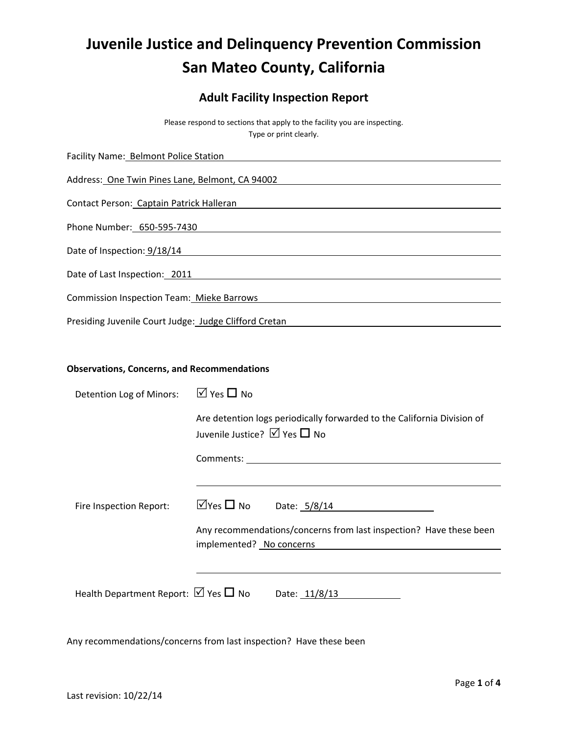# **Juvenile Justice and Delinquency Prevention Commission San Mateo County, California**

# **Adult Facility Inspection Report**

Please respond to sections that apply to the facility you are inspecting. Type or print clearly.

| Facility Name: Belmont Police Station                 |  |
|-------------------------------------------------------|--|
| Address: One Twin Pines Lane, Belmont, CA 94002       |  |
| Contact Person: Captain Patrick Halleran              |  |
| Phone Number: 650-595-7430                            |  |
| Date of Inspection: 9/18/14                           |  |
| Date of Last Inspection: 2011                         |  |
| Commission Inspection Team: Mieke Barrows             |  |
| Presiding Juvenile Court Judge: Judge Clifford Cretan |  |

#### **Observations, Concerns, and Recommendations**

| Detention Log of Minors:                            | $\overline{M}$ Yes $\Box$ No                                                                            |
|-----------------------------------------------------|---------------------------------------------------------------------------------------------------------|
|                                                     | Are detention logs periodically forwarded to the California Division of<br>Juvenile Justice? Ø Yes □ No |
|                                                     | Comments:                                                                                               |
|                                                     |                                                                                                         |
| Fire Inspection Report:                             | $\Box$ Yes $\Box$ No<br>Date: 5/8/14                                                                    |
|                                                     | Any recommendations/concerns from last inspection? Have these been                                      |
|                                                     | implemented? No concerns                                                                                |
|                                                     |                                                                                                         |
| Health Department Report: $\boxtimes$ Yes $\Box$ No | Date: 11/8/13                                                                                           |

Any recommendations/concerns from last inspection? Have these been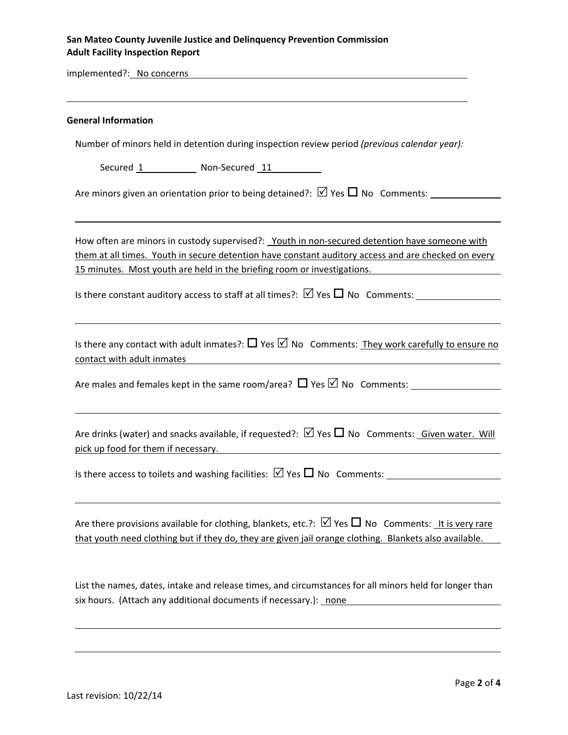## **San Mateo County Juvenile Justice and Delinquency Prevention Commission Adult Facility Inspection Report**

implemented?: No concerns

| <b>General Information</b>                                                                                                                                                                                                                                                             |
|----------------------------------------------------------------------------------------------------------------------------------------------------------------------------------------------------------------------------------------------------------------------------------------|
| Number of minors held in detention during inspection review period (previous calendar year):                                                                                                                                                                                           |
| Secured 1 Non-Secured 11                                                                                                                                                                                                                                                               |
| Are minors given an orientation prior to being detained?: $\boxtimes$ Yes $\square$ No Comments:                                                                                                                                                                                       |
| How often are minors in custody supervised?: Youth in non-secured detention have someone with<br>them at all times. Youth in secure detention have constant auditory access and are checked on every<br><u>15 minutes. Most youth are held in the briefing room or investigations.</u> |
| Is there constant auditory access to staff at all times?: $\boxtimes$ Yes $\square$ No Comments:                                                                                                                                                                                       |
| Is there any contact with adult inmates?: $\Box$ Yes $\Box$ No Comments: They work carefully to ensure no<br>contact with adult inmates                                                                                                                                                |
| Are males and females kept in the same room/area? $\Box$ Yes $\Box$ No Comments:                                                                                                                                                                                                       |
| Are drinks (water) and snacks available, if requested?: $\boxtimes$ Yes $\square$ No Comments: Given water. Will<br>pick up food for them if necessary.                                                                                                                                |
| Is there access to toilets and washing facilities: $\boxtimes$ Yes $\Box$ No Comments:                                                                                                                                                                                                 |
| Are there provisions available for clothing, blankets, etc.?: $\triangledown$ Yes $\Box$ No Comments: It is very rare<br>that youth need clothing but if they do, they are given jail orange clothing. Blankets also available.                                                        |
| List the names, dates, intake and release times, and circumstances for all minors held for longer than<br>six hours. (Attach any additional documents if necessary.): none                                                                                                             |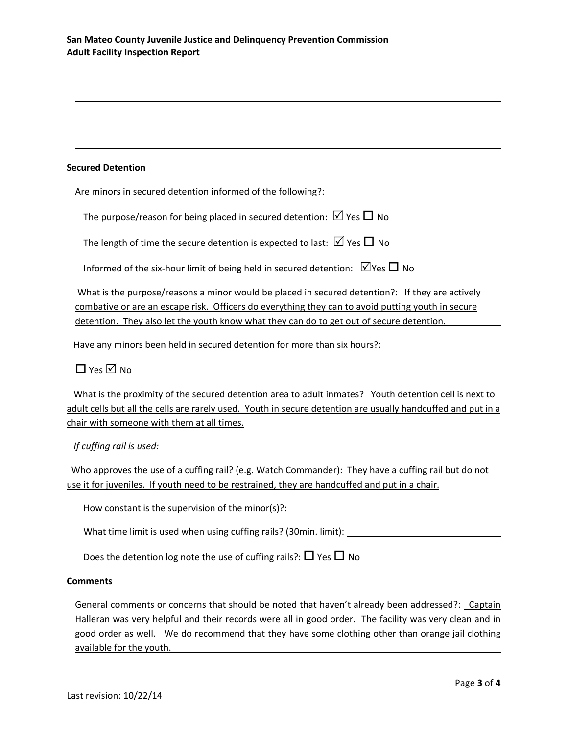#### **Secured Detention**

Are minors in secured detention informed of the following?:

The purpose/reason for being placed in secured detention:  $\boxtimes$  Yes  $\Box$  No

The length of time the secure detention is expected to last:  $\boxtimes$  Yes  $\Box$  No

Informed of the six-hour limit of being held in secured detention:  $\Box$  Yes  $\Box$  No

What is the purpose/reasons a minor would be placed in secured detention?: If they are actively combative or are an escape risk. Officers do everything they can to avoid putting youth in secure detention. They also let the youth know what they can do to get out of secure detention.

Have any minors been held in secured detention for more than six hours?:

# $\Box$  Yes  $\overline{\vee}$  No

What is the proximity of the secured detention area to adult inmates? Youth detention cell is next to adult cells but all the cells are rarely used. Youth in secure detention are usually handcuffed and put in a chair with someone with them at all times.

## *If cuffing rail is used:*

 Who approves the use of a cuffing rail? (e.g. Watch Commander): They have a cuffing rail but do not use it for juveniles. If youth need to be restrained, they are handcuffed and put in a chair.

How constant is the supervision of the minor(s)?: \_\_\_\_\_\_\_\_\_\_\_\_\_\_\_\_\_\_\_\_\_\_\_\_\_\_\_\_\_\_\_

What time limit is used when using cuffing rails? (30min. limit):

Does the detention log note the use of cuffing rails?:  $\Box$  Yes  $\Box$  No

#### **Comments**

General comments or concerns that should be noted that haven't already been addressed?: Captain Halleran was very helpful and their records were all in good order. The facility was very clean and in good order as well. We do recommend that they have some clothing other than orange jail clothing available for the youth.